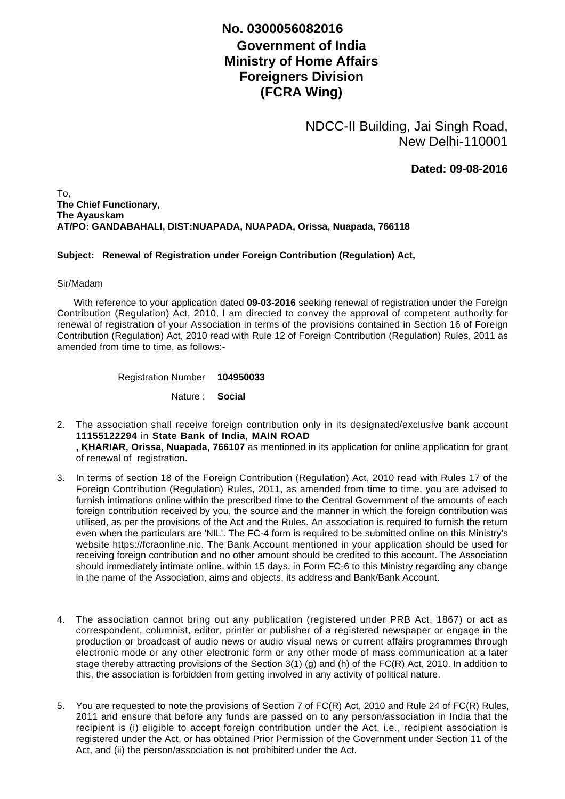## **Government of India Ministry of Home Affairs Foreigners Division (FCRA Wing) No. 0300056082016**

NDCC-II Building, Jai Singh Road, New Delhi-110001

**Dated: 09-08-2016**

To, **The Chief Functionary, The Ayauskam AT/PO: GANDABAHALI, DIST:NUAPADA, NUAPADA, Orissa, Nuapada, 766118**

## **Subject: Renewal of Registration under Foreign Contribution (Regulation) Act,**

## Sir/Madam

 With reference to your application dated **09-03-2016** seeking renewal of registration under the Foreign Contribution (Regulation) Act, 2010, I am directed to convey the approval of competent authority for renewal of registration of your Association in terms of the provisions contained in Section 16 of Foreign Contribution (Regulation) Act, 2010 read with Rule 12 of Foreign Contribution (Regulation) Rules, 2011 as amended from time to time, as follows:-

> Registration Number **104950033**

> > Nature : **Social**

- The association shall receive foreign contribution only in its designated/exclusive bank account 2. **11155122294** in **State Bank of India**, **MAIN ROAD , KHARIAR, Orissa, Nuapada, 766107** as mentioned in its application for online application for grant of renewal of registration.
- 3. In terms of section 18 of the Foreign Contribution (Regulation) Act, 2010 read with Rules 17 of the Foreign Contribution (Regulation) Rules, 2011, as amended from time to time, you are advised to furnish intimations online within the prescribed time to the Central Government of the amounts of each foreign contribution received by you, the source and the manner in which the foreign contribution was utilised, as per the provisions of the Act and the Rules. An association is required to furnish the return even when the particulars are 'NIL'. The FC-4 form is required to be submitted online on this Ministry's website https://fcraonline.nic. The Bank Account mentioned in your application should be used for receiving foreign contribution and no other amount should be credited to this account. The Association should immediately intimate online, within 15 days, in Form FC-6 to this Ministry regarding any change in the name of the Association, aims and objects, its address and Bank/Bank Account.
- 4. The association cannot bring out any publication (registered under PRB Act, 1867) or act as correspondent, columnist, editor, printer or publisher of a registered newspaper or engage in the production or broadcast of audio news or audio visual news or current affairs programmes through electronic mode or any other electronic form or any other mode of mass communication at a later stage thereby attracting provisions of the Section 3(1) (g) and (h) of the FC(R) Act, 2010. In addition to this, the association is forbidden from getting involved in any activity of political nature.
- 5. You are requested to note the provisions of Section 7 of FC(R) Act, 2010 and Rule 24 of FC(R) Rules, 2011 and ensure that before any funds are passed on to any person/association in India that the recipient is (i) eligible to accept foreign contribution under the Act, i.e., recipient association is registered under the Act, or has obtained Prior Permission of the Government under Section 11 of the Act, and (ii) the person/association is not prohibited under the Act.